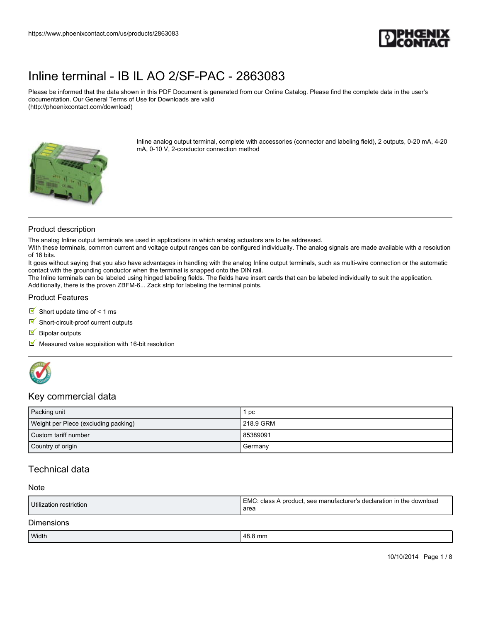

Please be informed that the data shown in this PDF Document is generated from our Online Catalog. Please find the complete data in the user's documentation. Our General Terms of Use for Downloads are valid (http://phoenixcontact.com/download)



Inline analog output terminal, complete with accessories (connector and labeling field), 2 outputs, 0-20 mA, 4-20 mA, 0-10 V, 2-conductor connection method

#### Product description

The analog Inline output terminals are used in applications in which analog actuators are to be addressed.

With these terminals, common current and voltage output ranges can be configured individually. The analog signals are made available with a resolution of 16 bits.

It goes without saying that you also have advantages in handling with the analog Inline output terminals, such as multi-wire connection or the automatic contact with the grounding conductor when the terminal is snapped onto the DIN rail.

The Inline terminals can be labeled using hinged labeling fields. The fields have insert cards that can be labeled individually to suit the application. Additionally, there is the proven ZBFM-6... Zack strip for labeling the terminal points.

#### Product Features

Short update time of  $\leq 1$  ms

 $\blacksquare$  Short-circuit-proof current outputs

 $\blacksquare$  Bipolar outputs

 $M$  Measured value acquisition with 16-bit resolution



### Key commercial data

| Packing unit                         | рc          |
|--------------------------------------|-------------|
| Weight per Piece (excluding packing) | l 218.9 GRM |
| Custom tariff number                 | 85389091    |
| Country of origin                    | Germany     |

## Technical data

#### Note

| Utilization restriction | EMC: class A product, see manufacturer's declaration in the download<br>area |
|-------------------------|------------------------------------------------------------------------------|
| <b>Dimensions</b>       |                                                                              |

| Width | ን mm<br>0. U |
|-------|--------------|
|       |              |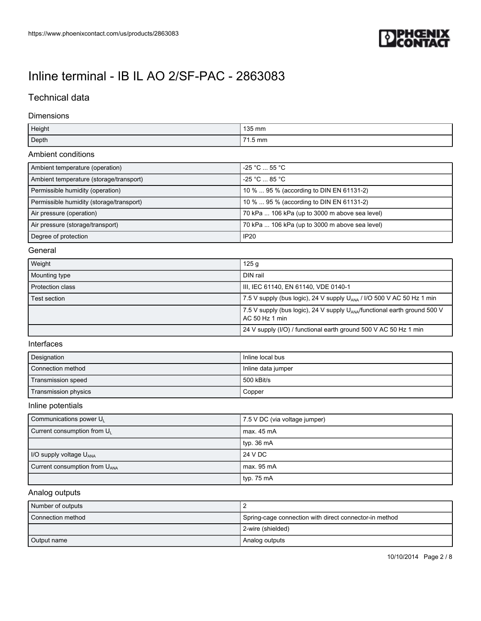

## Technical data

### Dimensions

| Height | 135 mm  |
|--------|---------|
| Depth  | 71.5 mm |

### Ambient conditions

| Ambient temperature (operation)          | -25 °C  55 °C                                  |
|------------------------------------------|------------------------------------------------|
| Ambient temperature (storage/transport)  | $-25$ °C $\ldots$ 85 °C                        |
| Permissible humidity (operation)         | 10 %  95 % (according to DIN EN 61131-2)       |
| Permissible humidity (storage/transport) | 10 %  95 % (according to DIN EN 61131-2)       |
| Air pressure (operation)                 | 70 kPa  106 kPa (up to 3000 m above sea level) |
| Air pressure (storage/transport)         | 70 kPa  106 kPa (up to 3000 m above sea level) |
| Degree of protection                     | IP <sub>20</sub>                               |

### General

| Weight                  | 125 g                                                                                                   |
|-------------------------|---------------------------------------------------------------------------------------------------------|
| Mounting type           | DIN rail                                                                                                |
| <b>Protection class</b> | III, IEC 61140, EN 61140, VDE 0140-1                                                                    |
| Test section            | 7.5 V supply (bus logic), 24 V supply U <sub>ANA</sub> / I/O 500 V AC 50 Hz 1 min                       |
|                         | 7.5 V supply (bus logic), 24 V supply $U_{\text{ANA}}$ /functional earth ground 500 V<br>AC 50 Hz 1 min |
|                         | 24 V supply (I/O) / functional earth ground 500 V AC 50 Hz 1 min                                        |

#### Interfaces

| Designation          | Inline local bus   |
|----------------------|--------------------|
| Connection method    | Inline data jumper |
| Transmission speed   | 500 kBit/s         |
| Transmission physics | Copper             |

### Inline potentials

| Communications power UL                   | 7.5 V DC (via voltage jumper) |
|-------------------------------------------|-------------------------------|
| Current consumption from $U_L$            | max. 45 mA                    |
|                                           | typ. 36 mA                    |
| I/O supply voltage $U_{\text{ANA}}$       | 24 V DC                       |
| Current consumption from U <sub>ANA</sub> | max. 95 mA                    |
|                                           | typ. 75 mA                    |

### Analog outputs

| Number of outputs |                                                        |
|-------------------|--------------------------------------------------------|
| Connection method | Spring-cage connection with direct connector-in method |
|                   | 2-wire (shielded)                                      |
| Output name       | Analog outputs                                         |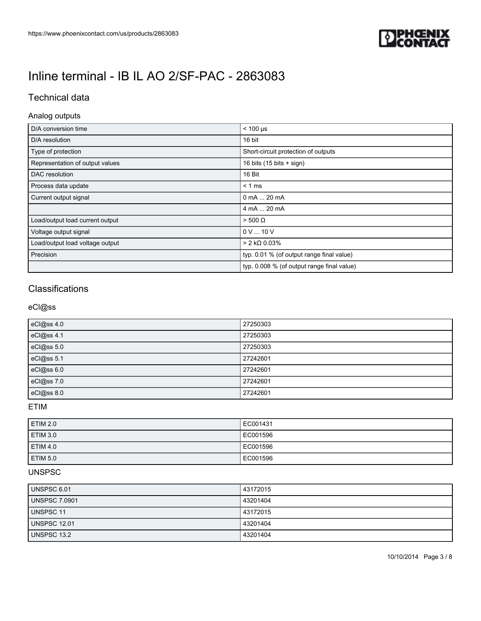

## Technical data

## Analog outputs

| D/A conversion time             | $< 100 \text{ }\mu\text{s}$                |
|---------------------------------|--------------------------------------------|
| D/A resolution                  | 16 bit                                     |
| Type of protection              | Short-circuit protection of outputs        |
| Representation of output values | 16 bits $(15 \text{ bits} + \text{sign})$  |
| DAC resolution                  | 16 Bit                                     |
| Process data update             | $< 1$ ms                                   |
| Current output signal           | 0 mA  20 mA                                |
|                                 | 4 mA  20 mA                                |
| Load/output load current output | $> 500 \Omega$                             |
| Voltage output signal           | 0 V  10 V                                  |
| Load/output load voltage output | $> 2$ kΩ 0.03%                             |
| Precision                       | typ. 0.01 % (of output range final value)  |
|                                 | typ. 0.008 % (of output range final value) |

## **Classifications**

### eCl@ss

| eCl@ss 4.0 | 27250303 |
|------------|----------|
| eCl@ss 4.1 | 27250303 |
| eCl@ss 5.0 | 27250303 |
| eCl@ss 5.1 | 27242601 |
| eCl@ss 6.0 | 27242601 |
| eCl@ss 7.0 | 27242601 |
| eCl@ss 8.0 | 27242601 |

## ETIM

| <b>ETIM 2.0</b> | EC001431  |
|-----------------|-----------|
| <b>ETIM 3.0</b> | LEC001596 |
| <b>ETIM 4.0</b> | LEC001596 |
| <b>ETIM 5.0</b> | EC001596  |

## UNSPSC

| UNSPSC 6.01          | 43172015 |
|----------------------|----------|
| <b>UNSPSC 7.0901</b> | 43201404 |
| <b>UNSPSC 11</b>     | 43172015 |
| <b>UNSPSC 12.01</b>  | 43201404 |
| UNSPSC 13.2          | 43201404 |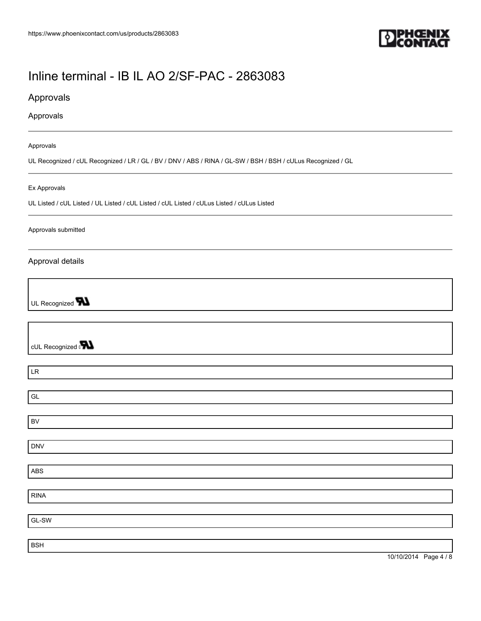

## Approvals

### Approvals

#### Approvals

UL Recognized / cUL Recognized / LR / GL / BV / DNV / ABS / RINA / GL-SW / BSH / BSH / cULus Recognized / GL

#### Ex Approvals

UL Listed / cUL Listed / UL Listed / cUL Listed / cUL Listed / cULus Listed / cULus Listed

#### Approvals submitted

### Approval details

UL Recognized **W** 

cUL Recognized and

LR

GL

BV

DNV

ABS

RINA

GL-SW

BSH

10/10/2014 Page 4 / 8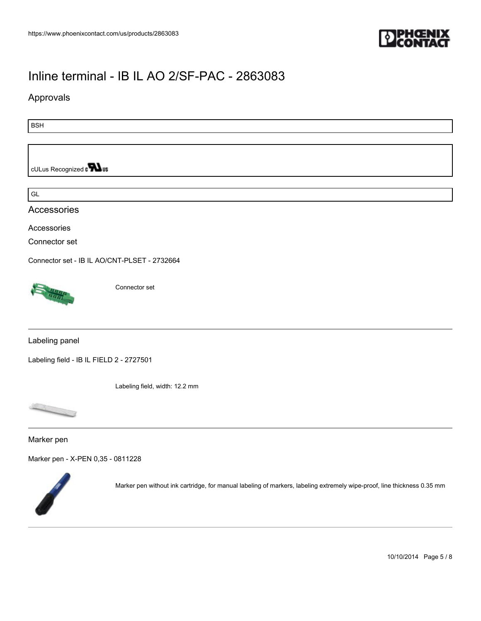

## Approvals

BSH

cULus Recognized a **Wus** 

GL

Accessories

Accessories

Connector set

[Connector set - IB IL AO/CNT-PLSET - 2732664](https://www.phoenixcontact.com/us/products/2732664)



Connector set

Labeling panel

[Labeling field - IB IL FIELD 2 - 2727501](https://www.phoenixcontact.com/us/products/2727501)

Labeling field, width: 12.2 mm



Marker pen

[Marker pen - X-PEN 0,35 - 0811228](https://www.phoenixcontact.com/us/products/0811228)



Marker pen without ink cartridge, for manual labeling of markers, labeling extremely wipe-proof, line thickness 0.35 mm

10/10/2014 Page 5 / 8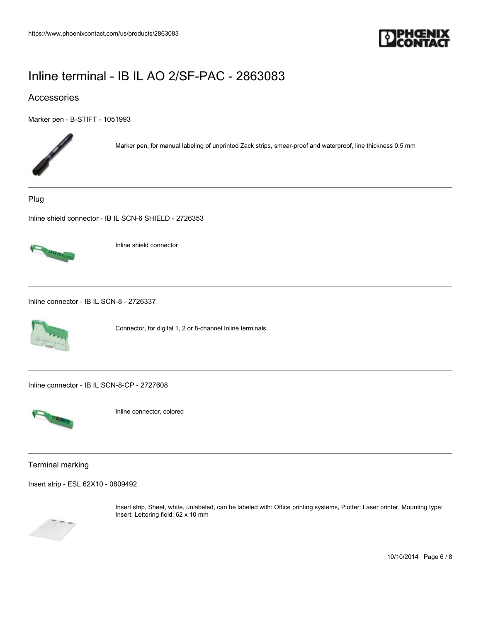

## Accessories

[Marker pen - B-STIFT - 1051993](https://www.phoenixcontact.com/us/products/1051993)



Marker pen, for manual labeling of unprinted Zack strips, smear-proof and waterproof, line thickness 0.5 mm

Plug

[Inline shield connector - IB IL SCN-6 SHIELD - 2726353](https://www.phoenixcontact.com/us/products/2726353)



Inline shield connector

[Inline connector - IB IL SCN-8 - 2726337](https://www.phoenixcontact.com/us/products/2726337)



Connector, for digital 1, 2 or 8-channel Inline terminals

[Inline connector - IB IL SCN-8-CP - 2727608](https://www.phoenixcontact.com/us/products/2727608)



Inline connector, colored

Terminal marking

[Insert strip - ESL 62X10 - 0809492](https://www.phoenixcontact.com/us/products/0809492)



Insert strip, Sheet, white, unlabeled, can be labeled with: Office printing systems, Plotter: Laser printer, Mounting type: Insert, Lettering field: 62 x 10 mm

10/10/2014 Page 6 / 8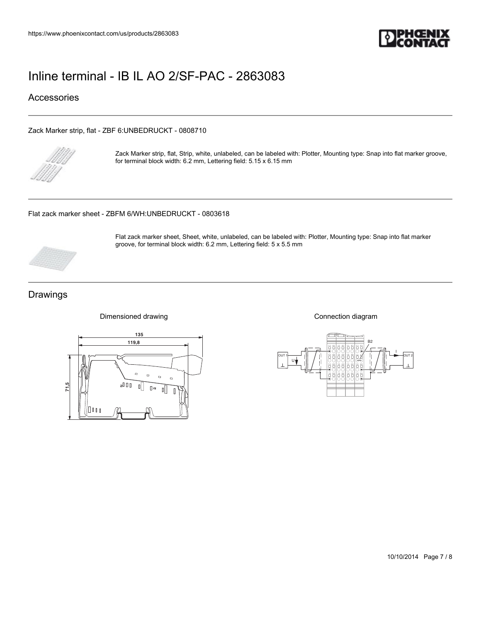

## Accessories

[Zack Marker strip, flat - ZBF 6:UNBEDRUCKT - 0808710](https://www.phoenixcontact.com/us/products/0808710)



Zack Marker strip, flat, Strip, white, unlabeled, can be labeled with: Plotter, Mounting type: Snap into flat marker groove, for terminal block width: 6.2 mm, Lettering field: 5.15 x 6.15 mm

Flat zack marker sheet, Sheet, white, unlabeled, can be labeled with: Plotter, Mounting type: Snap into flat marker

groove, for terminal block width: 6.2 mm, Lettering field: 5 x 5.5 mm

[Flat zack marker sheet - ZBFM 6/WH:UNBEDRUCKT - 0803618](https://www.phoenixcontact.com/us/products/0803618)



## Drawings



Dimensioned drawing

Connection diagram